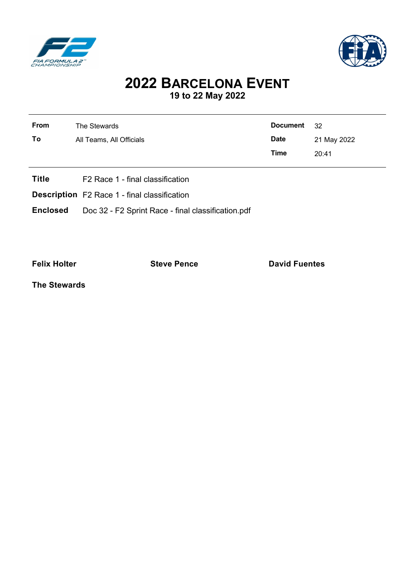



## **2022 BARCELONA EVENT 19 to 22 May 2022**

| From         | The Stewards                     | <b>Document</b> | -32         |  |  |
|--------------|----------------------------------|-----------------|-------------|--|--|
| To           | All Teams, All Officials         | <b>Date</b>     | 21 May 2022 |  |  |
|              |                                  | Time            | 20:41       |  |  |
| <b>Title</b> | F2 Race 1 - final classification |                 |             |  |  |

- 
- **Description** F2 Race 1 final classification
- **Enclosed** Doc 32 F2 Sprint Race final classification.pdf

l.

**Felix Holter Constanting Steve Pence Constanting David Fuentes** 

**The Stewards**